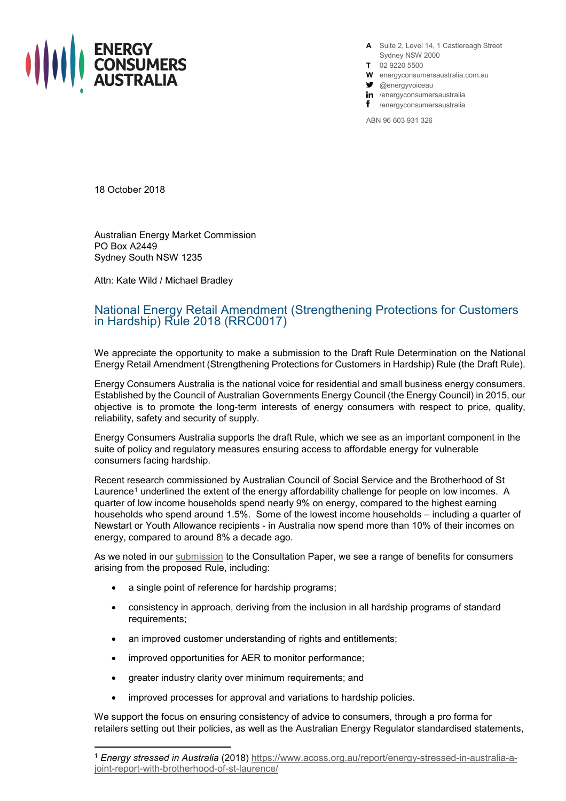

**A** Suite 2, Level 14, 1 Castlereagh Street Sydney NSW 2000

- **T** 02 9220 5500
- **W** energyconsumersaustralia.com.au
- $\bullet$  @energyvoiceau
- in /energyconsumersaustralia
- f /energyconsumersaustralia

ABN 96 603 931 326

18 October 2018

Australian Energy Market Commission PO Box A2449 Sydney South NSW 1235

Attn: Kate Wild / Michael Bradley

## National Energy Retail Amendment (Strengthening Protections for Customers in Hardship) Rule 2018 (RRC0017)

We appreciate the opportunity to make a submission to the Draft Rule Determination on the National Energy Retail Amendment (Strengthening Protections for Customers in Hardship) Rule (the Draft Rule).

Energy Consumers Australia is the national voice for residential and small business energy consumers. Established by the Council of Australian Governments Energy Council (the Energy Council) in 2015, our objective is to promote the long-term interests of energy consumers with respect to price, quality, reliability, safety and security of supply.

Energy Consumers Australia supports the draft Rule, which we see as an important component in the suite of policy and regulatory measures ensuring access to affordable energy for vulnerable consumers facing hardship.

Recent research commissioned by Australian Council of Social Service and the Brotherhood of St Laurence<sup>[1](#page-0-0)</sup> underlined the extent of the energy affordability challenge for people on low incomes. A quarter of low income households spend nearly 9% on energy, compared to the highest earning households who spend around 1.5%. Some of the lowest income households – including a quarter of Newstart or Youth Allowance recipients - in Australia now spend more than 10% of their incomes on energy, compared to around 8% a decade ago.

As we noted in our [submission](http://energyconsumersaustralia.com.au/publication/strengthening-protections-customers-hardship-submission/) to the Consultation Paper, we see a range of benefits for consumers arising from the proposed Rule, including:

- a single point of reference for hardship programs;
- consistency in approach, deriving from the inclusion in all hardship programs of standard requirements;
- an improved customer understanding of rights and entitlements;
- improved opportunities for AER to monitor performance;
- greater industry clarity over minimum requirements; and
- improved processes for approval and variations to hardship policies.

We support the focus on ensuring consistency of advice to consumers, through a pro forma for retailers setting out their policies, as well as the Australian Energy Regulator standardised statements,

<span id="page-0-0"></span> <sup>1</sup> *Energy stressed in Australia* (2018) [https://www.acoss.org.au/report/energy-stressed-in-australia-a](https://www.acoss.org.au/report/energy-stressed-in-australia-a-joint-report-with-brotherhood-of-st-laurence/)[joint-report-with-brotherhood-of-st-laurence/](https://www.acoss.org.au/report/energy-stressed-in-australia-a-joint-report-with-brotherhood-of-st-laurence/)